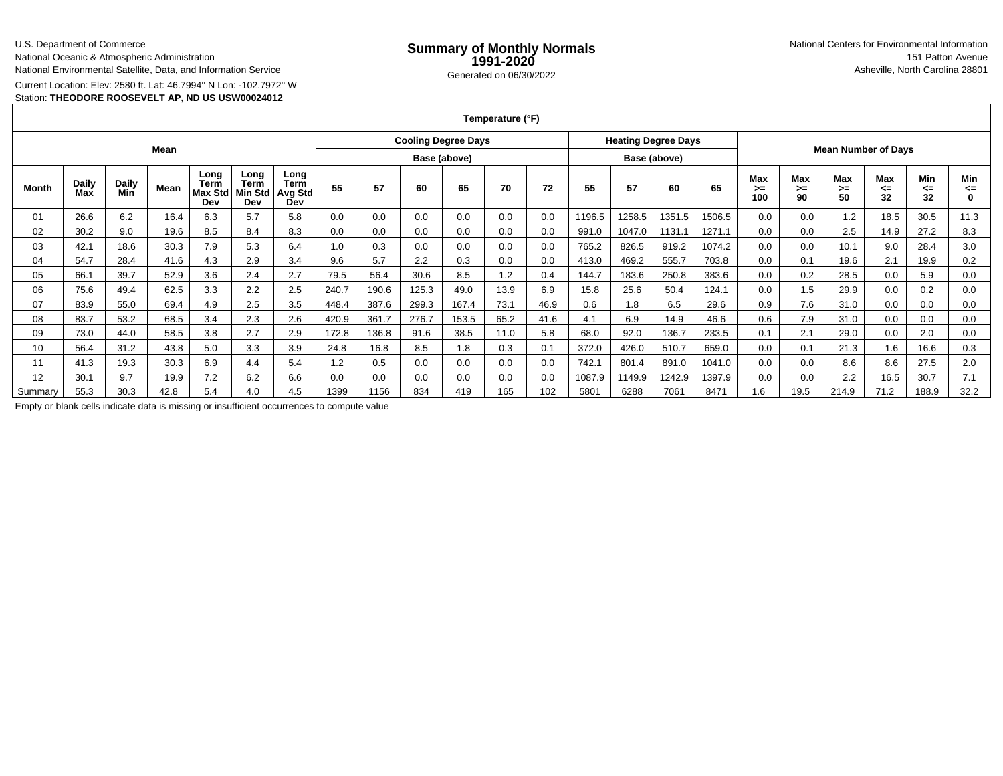## U.S. Department of Commerce

National Oceanic & Atmospheric Administration

National Environmental Satellite, Data, and Information Service

Current Location: Elev: 2580 ft. Lat: 46.7994° N Lon: -102.7972° W

## Station: **THEODORE ROOSEVELT AP, ND US USW00024012**

**Temperature (°F)**

| Mean    |              |              |      |                                |                                |                                       | <b>Cooling Degree Days</b> |              |       |       |      | <b>Heating Degree Days</b> |              |        | <b>Mean Number of Days</b> |        |                  |                   |                 |                 |                        |                |
|---------|--------------|--------------|------|--------------------------------|--------------------------------|---------------------------------------|----------------------------|--------------|-------|-------|------|----------------------------|--------------|--------|----------------------------|--------|------------------|-------------------|-----------------|-----------------|------------------------|----------------|
|         |              |              |      |                                |                                |                                       |                            | Base (above) |       |       |      |                            | Base (above) |        |                            |        |                  |                   |                 |                 |                        |                |
| Month   | Daily<br>Max | Daily<br>Min | Mean | Long<br>Term<br>Max Std<br>Dev | Long<br>Term<br>Min Std<br>Dev | Long<br><b>Term</b><br>Avg Std<br>Dev | 55                         | 57           | 60    | 65    | 70   | 72                         | 55           | 57     | 60                         | 65     | Max<br>>=<br>100 | Max<br>$>=$<br>90 | Max<br>≻=<br>50 | Max<br><=<br>32 | <b>Min</b><br><=<br>32 | Min<br><=<br>0 |
| 01      | 26.6         | 6.2          | 16.4 | 6.3                            | 5.7                            | 5.8                                   | 0.0                        | 0.0          | 0.0   | 0.0   | 0.0  | 0.0                        | 1196.5       | 1258.5 | 1351.5                     | 1506.5 | 0.0              | 0.0               | 1.2             | 18.5            | 30.5                   | 11.3           |
| 02      | 30.2         | 9.0          | 19.6 | 8.5                            | 8.4                            | 8.3                                   | 0.0                        | 0.0          | 0.0   | 0.0   | 0.0  | 0.0                        | 991.0        | 1047.0 | 1131.1                     | 1271.1 | 0.0              | 0.0               | 2.5             | 14.9            | 27.2                   | 8.3            |
| 03      | 42.1         | 18.6         | 30.3 | 7.9                            | 5.3                            | 6.4                                   | 1.0                        | 0.3          | 0.0   | 0.0   | 0.0  | 0.0                        | 765.2        | 826.5  | 919.2                      | 1074.2 | 0.0              | 0.0               | 10.1            | 9.0             | 28.4                   | 3.0            |
| 04      | 54.7         | 28.4         | 41.6 | 4.3                            | 2.9                            | 3.4                                   | 9.6                        | 5.7          | 2.2   | 0.3   | 0.0  | 0.0                        | 413.0        | 469.2  | 555.7                      | 703.8  | 0.0              | 0.1               | 19.6            | 2.1             | 19.9                   | 0.2            |
| 05      | 66.1         | 39.7         | 52.9 | 3.6                            | 2.4                            | 2.7                                   | 79.5                       | 56.4         | 30.6  | 8.5   | 1.2  | 0.4                        | 144.7        | 183.6  | 250.8                      | 383.6  | 0.0              | 0.2               | 28.5            | 0.0             | 5.9                    | 0.0            |
| 06      | 75.6         | 49.4         | 62.5 | 3.3                            | 2.2                            | 2.5                                   | 240.7                      | 190.6        | 125.3 | 49.0  | 13.9 | 6.9                        | 15.8         | 25.6   | 50.4                       | 124.1  | 0.0              | 1.5               | 29.9            | 0.0             | 0.2                    | 0.0            |
| 07      | 83.9         | 55.0         | 69.4 | 4.9                            | 2.5                            | 3.5                                   | 448.4                      | 387.6        | 299.3 | 167.4 | 73.1 | 46.9                       | 0.6          | 1.8    | 6.5                        | 29.6   | 0.9              | 7.6               | 31.0            | 0.0             | 0.0                    | 0.0            |
| 08      | 83.7         | 53.2         | 68.5 | 3.4                            | 2.3                            | 2.6                                   | 420.9                      | 361.7        | 276.7 | 153.5 | 65.2 | 41.6                       | 4.1          | 6.9    | 14.9                       | 46.6   | 0.6              | 7.9               | 31.0            | 0.0             | 0.0                    | 0.0            |
| 09      | 73.0         | 44.0         | 58.5 | 3.8                            | 2.7                            | 2.9                                   | 172.8                      | 136.8        | 91.6  | 38.5  | 11.0 | 5.8                        | 68.0         | 92.0   | 136.7                      | 233.5  | 0.1              | 2.1               | 29.0            | 0.0             | 2.0                    | 0.0            |
| 10      | 56.4         | 31.2         | 43.8 | 5.0                            | 3.3                            | 3.9                                   | 24.8                       | 16.8         | 8.5   | 1.8   | 0.3  | 0.1                        | 372.0        | 426.0  | 510.7                      | 659.0  | 0.0              | 0.1               | 21.3            | 1.6             | 16.6                   | 0.3            |
| 11      | 41.3         | 19.3         | 30.3 | 6.9                            | 4.4                            | 5.4                                   | 1.2                        | 0.5          | 0.0   | 0.0   | 0.0  | 0.0                        | 742.7        | 801.4  | 891.0                      | 1041.0 | 0.0              | 0.0               | 8.6             | 8.6             | 27.5                   | 2.0            |
| 12      | 30.1         | 9.7          | 19.9 | 7.2                            | 6.2                            | 6.6                                   | 0.0                        | 0.0          | 0.0   | 0.0   | 0.0  | 0.0                        | 1087.9       | 1149.9 | 1242.9                     | 1397.9 | 0.0              | 0.0               | 2.2             | 16.5            | 30.7                   | 7.1            |
| Summary | 55.3         | 30.3         | 42.8 | 5.4                            | 4.0                            | 4.5                                   | 1399                       | 1156         | 834   | 419   | 165  | 102                        | 5801         | 6288   | 7061                       | 8471   | .6               | 19.5              | 214.9           | 71.2            | 188.9                  | 32.2           |

Empty or blank cells indicate data is missing or insufficient occurrences to compute value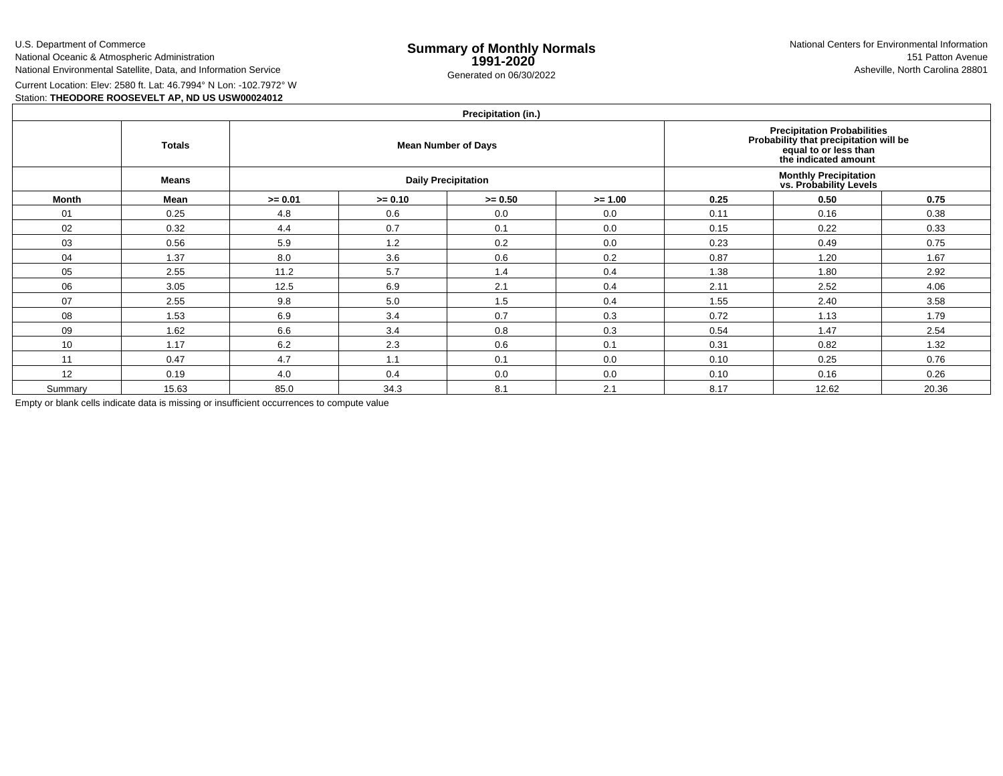U.S. Department of Commerce

National Oceanic & Atmospheric Administration

National Environmental Satellite, Data, and Information Service

Current Location: Elev: 2580 ft. Lat: 46.7994° N Lon: -102.7972° WStation: **THEODORE ROOSEVELT AP, ND US USW00024012**

|         | Precipitation (in.) |           |           |                            |                                                                                                                        |                                                        |       |       |  |  |  |  |  |
|---------|---------------------|-----------|-----------|----------------------------|------------------------------------------------------------------------------------------------------------------------|--------------------------------------------------------|-------|-------|--|--|--|--|--|
|         | <b>Totals</b>       |           |           | <b>Mean Number of Days</b> | Precipitation Probabilities<br>Probability that precipitation will be<br>equal to or less than<br>the indicated amount |                                                        |       |       |  |  |  |  |  |
|         | Means               |           |           | <b>Daily Precipitation</b> |                                                                                                                        | <b>Monthly Precipitation</b><br>vs. Probability Levels |       |       |  |  |  |  |  |
| Month   | Mean                | $>= 0.01$ | $>= 0.10$ | $>= 0.50$                  | $>= 1.00$                                                                                                              | 0.25                                                   | 0.50  | 0.75  |  |  |  |  |  |
| 01      | 0.25                | 4.8       | 0.6       | 0.0                        | 0.0                                                                                                                    | 0.11                                                   | 0.16  | 0.38  |  |  |  |  |  |
| 02      | 0.32                | 4.4       | 0.7       | 0.1                        | 0.0                                                                                                                    | 0.15                                                   | 0.22  | 0.33  |  |  |  |  |  |
| 03      | 0.56                | 5.9       | 1.2       | 0.2                        | 0.0                                                                                                                    | 0.23                                                   | 0.49  | 0.75  |  |  |  |  |  |
| 04      | 1.37                | 8.0       | 3.6       | 0.6                        | 0.2                                                                                                                    | 0.87                                                   | 1.20  | 1.67  |  |  |  |  |  |
| 05      | 2.55                | 11.2      | 5.7       | 1.4                        | 0.4                                                                                                                    | 1.38                                                   | 1.80  | 2.92  |  |  |  |  |  |
| 06      | 3.05                | 12.5      | 6.9       | 2.1                        | 0.4                                                                                                                    | 2.11                                                   | 2.52  | 4.06  |  |  |  |  |  |
| 07      | 2.55                | 9.8       | 5.0       | 1.5                        | 0.4                                                                                                                    | 1.55                                                   | 2.40  | 3.58  |  |  |  |  |  |
| 08      | 1.53                | 6.9       | 3.4       | 0.7                        | 0.3                                                                                                                    | 0.72                                                   | 1.13  | 1.79  |  |  |  |  |  |
| 09      | 1.62                | 6.6       | 3.4       | 0.8                        | 0.3                                                                                                                    | 0.54                                                   | 1.47  | 2.54  |  |  |  |  |  |
| 10      | 1.17                | 6.2       | 2.3       | 0.6                        | 0.1                                                                                                                    | 0.31                                                   | 0.82  | 1.32  |  |  |  |  |  |
| 11      | 0.47                | 4.7       | 1.1       | 0.1                        | 0.0                                                                                                                    | 0.10                                                   | 0.25  | 0.76  |  |  |  |  |  |
| 12      | 0.19                | 4.0       | 0.4       | 0.0                        | 0.0                                                                                                                    | 0.10                                                   | 0.16  | 0.26  |  |  |  |  |  |
| Summary | 15.63               | 85.0      | 34.3      | 8.1                        | 2.1                                                                                                                    | 8.17                                                   | 12.62 | 20.36 |  |  |  |  |  |

Empty or blank cells indicate data is missing or insufficient occurrences to compute value